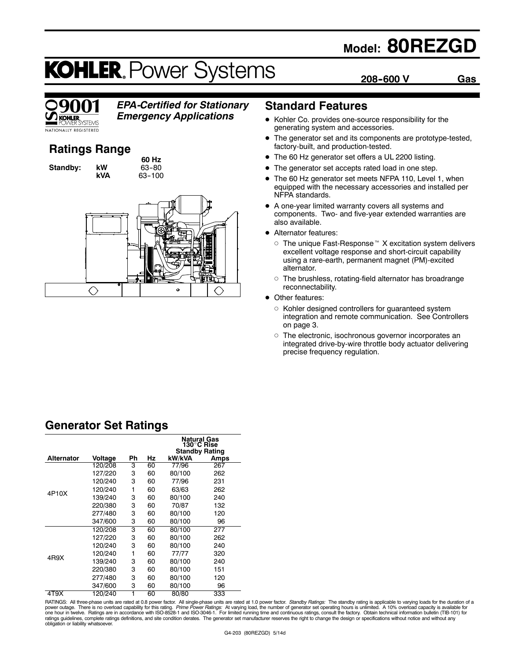## **Model: 80REZGD**

**208--600 V Gas**

# **KOHLER. Power Systems**



## *EPA-Certified for Stationary*

*Emergency Applications*

## **Ratings Range**

**Standby: kW** 

**60 Hz kVA** 63-100



## **Standard Features**

- Kohler Co. provides one-source responsibility for the generating system and accessories.
- The generator set and its components are prototype-tested, factory-built, and production-tested.
- The 60 Hz generator set offers a UL 2200 listing.
- The generator set accepts rated load in one step.
- The 60 Hz generator set meets NFPA 110, Level 1, when equipped with the necessary accessories and installed per NFPA standards.
- A one-year limited warranty covers all systems and components. Two- and five-year extended warranties are also available.
- Alternator features:
	- $\circ$  The unique Fast-Response<sup> $M$ </sup> X excitation system delivers excellent voltage response and short-circuit capability using a rare-earth, permanent magnet (PM)-excited alternator.
	- $\circ$  The brushless, rotating-field alternator has broadrange reconnectability.
- Other features:
	- o Kohler designed controllers for guaranteed system integration and remote communication. See Controllers on page 3.
	- o The electronic, isochronous governor incorporates an integrated drive-by-wire throttle body actuator delivering precise frequency regulation.

## **Generator Set Ratings**

|                   |         |    |    | Natural Gas<br>130°C Rise<br><b>Standby Rating</b> |      |
|-------------------|---------|----|----|----------------------------------------------------|------|
| <b>Alternator</b> | Voltage | Ph | Ηz | kW/kVA                                             | Amps |
|                   | 120/208 | 3  | 60 | 77/96                                              | 267  |
|                   | 127/220 | 3  | 60 | 80/100                                             | 262  |
|                   | 120/240 | 3  | 60 | 77/96                                              | 231  |
| 4P10X             | 120/240 | 1  | 60 | 63/63                                              | 262  |
|                   | 139/240 | 3  | 60 | 80/100                                             | 240  |
|                   | 220/380 | 3  | 60 | 70/87                                              | 132  |
|                   | 277/480 | 3  | 60 | 80/100                                             | 120  |
|                   | 347/600 | 3  | 60 | 80/100                                             | 96   |
|                   | 120/208 | 3  | 60 | 80/100                                             | 277  |
|                   | 127/220 | 3  | 60 | 80/100                                             | 262  |
|                   | 120/240 | 3  | 60 | 80/100                                             | 240  |
| 4R9X              | 120/240 | 1  | 60 | 77/77                                              | 320  |
|                   | 139/240 | 3  | 60 | 80/100                                             | 240  |
|                   | 220/380 | 3  | 60 | 80/100                                             | 151  |
|                   | 277/480 | 3  | 60 | 80/100                                             | 120  |
|                   | 347/600 | 3  | 60 | 80/100                                             | 96   |
| 4T9X              | 120/240 | 1  | 60 | 80/80                                              | 333  |

RATINGS: All three-phase units are rated at 0.8 power factor. All single-phase units are rated at 1.0 power factor. *Standby Ratings:* The standby rating is applicable to varying loads for the duration of a<br>power outage. T ratings guidelines, complete ratings definitions, and site condition derates. The generator set manufacturer reserves the right to change the design or specifications without notice and without any<br>obligation or liability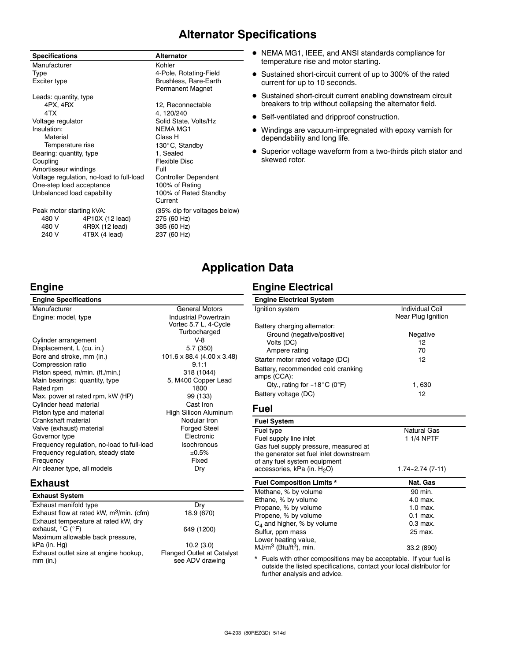## **Alternator Specifications**

|                                          | <b>Specifications</b> |                 | <b>Alternator</b>            |  |
|------------------------------------------|-----------------------|-----------------|------------------------------|--|
|                                          | Manufacturer          |                 | Kohler                       |  |
|                                          | Type                  |                 | 4-Pole, Rotating-Field       |  |
|                                          | Exciter type          |                 | Brushless, Rare-Earth        |  |
|                                          |                       |                 | Permanent Magnet             |  |
|                                          | Leads: quantity, type |                 |                              |  |
|                                          | 4PX, 4RX              |                 | 12, Reconnectable            |  |
|                                          | 4TX                   |                 | 4, 120/240                   |  |
| Voltage regulator                        |                       |                 | Solid State, Volts/Hz        |  |
| Insulation:                              |                       |                 | <b>NEMA MG1</b>              |  |
| Material                                 |                       |                 | Class H                      |  |
| Temperature rise                         |                       |                 | 130°C, Standby               |  |
| Bearing: quantity, type                  |                       |                 | 1, Sealed                    |  |
| Coupling                                 |                       |                 | Flexible Disc                |  |
| Amortisseur windings                     |                       |                 | Full                         |  |
| Voltage regulation, no-load to full-load |                       |                 | <b>Controller Dependent</b>  |  |
| One-step load acceptance                 |                       |                 | 100% of Rating               |  |
| Unbalanced load capability               |                       |                 | 100% of Rated Standby        |  |
|                                          |                       |                 | Current                      |  |
| Peak motor starting kVA:                 |                       |                 | (35% dip for voltages below) |  |
|                                          | 480 V                 | 4P10X (12 lead) | 275 (60 Hz)                  |  |
|                                          | 480 V                 | 4R9X (12 lead)  | 385 (60 Hz)                  |  |

240 V 4T9X (4 lead) 237 (60 Hz)

- NEMA MG1, IEEE, and ANSI standards compliance for temperature rise and motor starting.
- Sustained short-circuit current of up to 300% of the rated current for up to 10 seconds.
- **•** Sustained short-circuit current enabling downstream circuit breakers to trip without collapsing the alternator field.
- Self-ventilated and dripproof construction.
- Windings are vacuum-impregnated with epoxy varnish for dependability and long life.
- Superior voltage waveform from a two-thirds pitch stator and skewed rotor.

## **Application Data**

Vortec 5.7 L, 4-Cycle

## **Engine**

**Engine Specifications**

Manufacturer General Motors Engine: model, type Industrial Powertrain

Turbocharged Cylinder arrangement V-8 Displacement, L (cu. in.) 5.7 (350) Bore and stroke, mm (in.) 101.6 x 88.4 (4.00 x 3.48) Compression ratio 9.1:1 Piston speed, m/min. (ft./min.) 318 (1044) Main bearings: quantity, type 5, M400 Copper Lead Rated rpm 1800 Max. power at rated rpm, kW (HP) 99 (133) Cylinder head material Cast Iron<br>
Piston type and material Cast China High Silicon Aluminum Piston type and material Crankshaft material Nodular Iron Valve (exhaust) material example of the Forged Steel<br>Governor type example and the Electronic Governor type Frequency regulation, no-load to full-load Isochronous Frequency regulation, steady state  $\pm 0.5\%$ Frequency **Fixed** Air cleaner type, all models Dry

## **Exhaust**

| Dry                                                  |
|------------------------------------------------------|
| 18.9 (670)                                           |
| 649 (1200)                                           |
|                                                      |
| 10.2(3.0)                                            |
| <b>Flanged Outlet at Catalyst</b><br>see ADV drawing |
|                                                      |

## **Engine Electrical**

| <b>Engine Electrical System</b>                   |                        |
|---------------------------------------------------|------------------------|
| Ignition system                                   | <b>Individual Coil</b> |
|                                                   | Near Plug Ignition     |
| Battery charging alternator:                      |                        |
| Ground (negative/positive)                        | Negative               |
| Volts (DC)                                        | 12                     |
| Ampere rating                                     | 70                     |
| Starter motor rated voltage (DC)                  | 12                     |
| Battery, recommended cold cranking<br>amps (CCA): |                        |
| Qty., rating for $-18^{\circ}$ C (0°F)            | 1.630                  |
| Battery voltage (DC)                              | 12                     |

### **Fuel**

| <b>Fuel System</b>                                            |                       |
|---------------------------------------------------------------|-----------------------|
| Fuel type                                                     | <b>Natural Gas</b>    |
| Fuel supply line inlet                                        | 1 1/4 NPTF            |
| Gas fuel supply pressure, measured at                         |                       |
| the generator set fuel inlet downstream                       |                       |
| of any fuel system equipment                                  |                       |
| accessories, kPa (in. H <sub>2</sub> O)                       | $1.74 - 2.74(7 - 11)$ |
| <b>Fuel Composition Limits *</b>                              | Nat. Gas              |
|                                                               |                       |
| Methane, % by volume                                          | 90 min.               |
| Ethane, % by volume                                           | 4.0 max.              |
| Propane, % by volume                                          | $1.0$ max.            |
| Propene, % by volume                                          | $0.1$ max.            |
| $C_4$ and higher, % by volume                                 | $0.3$ max.            |
| Sulfur, ppm mass                                              | 25 max.               |
| Lower heating value,<br>$MJ/m^3$ (Btu/ft <sup>3</sup> ), min. |                       |

\* Fuels with other compositions may be acceptable. If your fuel is outside the listed specifications, contact your local distributor for further analysis and advice.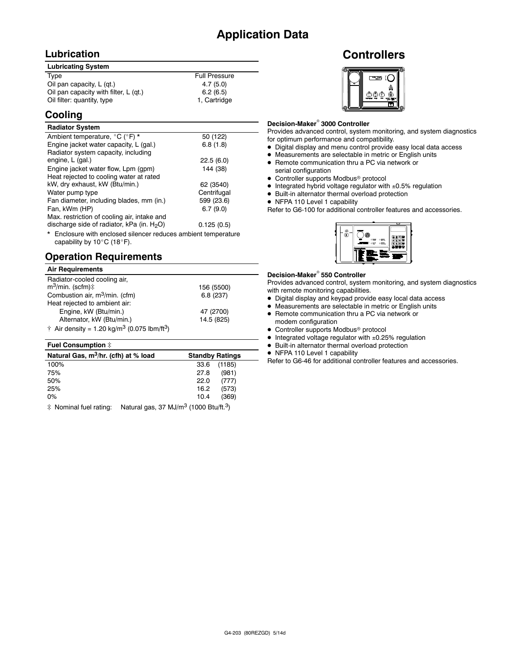## **Lubrication**

| <b>Lubricating System</b>             |                      |
|---------------------------------------|----------------------|
| Type                                  | <b>Full Pressure</b> |
| Oil pan capacity, L (gt.)             | 4.7(5.0)             |
| Oil pan capacity with filter, L (qt.) | 6.2(6.5)             |
| Oil filter: quantity, type            | 1, Cartridge         |

## **Cooling**

#### **Radiator System** Ambient temperature,  $^{\circ}C$  ( $^{\circ}F$ ) \* 50 (122) Engine jacket water capacity, L (gal.) 6.8 (1.8) Radiator system capacity, including engine, L (gal.) 22.5 (6.0) Engine jacket water flow, Lpm (gpm) 144 (38) Heat rejected to cooling water at rated kW, dry exhaust, kW (Btu/min.) 62 (3540) Water pump type **Centrifugal** Fan diameter, including blades, mm (in.) 599 (23.6) Fan, kWm (HP) 6.7 (9.0) Max. restriction of cooling air, intake and discharge side of radiator, kPa (in.  $H<sub>2</sub>O$ )  $0.125(0.5)$

\* Enclosure with enclosed silencer reduces ambient temperature capability by  $10^{\circ}$ C (18 $^{\circ}$ F).

## **Operation Requirements**

| <b>Air Requirements</b>                                                     |            |
|-----------------------------------------------------------------------------|------------|
| Radiator-cooled cooling air,                                                |            |
| $m^3$ /min. (scfm) $\ddagger$                                               | 156 (5500) |
| Combustion air, m <sup>3</sup> /min. (cfm)                                  | 6.8(237)   |
| Heat rejected to ambient air:                                               |            |
| Engine, kW (Btu/min.)                                                       | 47 (2700)  |
| Alternator, kW (Btu/min.)                                                   | 14.5 (825) |
| $\dagger$ Air density = 1.20 kg/m <sup>3</sup> (0.075 lbm/ft <sup>3</sup> ) |            |

#### Fuel Consumption  $\ddot{=}$

| Natural Gas, m <sup>3</sup> /hr. (cfh) at % load                                                                                                                                                                                                            |      | <b>Standby Ratings</b> |
|-------------------------------------------------------------------------------------------------------------------------------------------------------------------------------------------------------------------------------------------------------------|------|------------------------|
| 100%                                                                                                                                                                                                                                                        | 33.6 | (1185)                 |
| 75%                                                                                                                                                                                                                                                         | 27.8 | (981)                  |
| 50%                                                                                                                                                                                                                                                         | 22.0 | (777)                  |
| 25%                                                                                                                                                                                                                                                         | 16.2 | (573)                  |
| $0\%$                                                                                                                                                                                                                                                       | 10.4 | (369)                  |
| $\pm$ M . $\pm$ 1 f $\pm$ 1 $\pm$ 1 $\pm$ 1 $\pm$ 1 $\pm$ 1 $\pm$ 1 $\pm$ 2 $\pm$ 2 $\pm$ 1 $\pm$ 1 $\pm$ 2 $\pm$ 2 $\pm$ 2 $\pm$ 2 $\pm$ 2 $\pm$ 2 $\pm$ 2 $\pm$ 2 $\pm$ 2 $\pm$ 2 $\pm$ 2 $\pm$ 2 $\pm$ 2 $\pm$ 2 $\pm$ 2 $\pm$ 2 $\pm$ 2 $\pm$ 2 $\pm$ 2 |      |                        |

 $\ddagger$  Nominal fuel rating: Natural gas, 37 MJ/m<sup>3</sup> (1000 Btu/ft.<sup>3</sup>)

## **Controllers**



#### **Decision-Maker<sup>®</sup> 3000 Controller**

Provides advanced control, system monitoring, and system diagnostics for optimum performance and compatibility.

- $\bullet$  Digital display and menu control provide easy local data access
- Measurements are selectable in metric or English units
- Remote communication thru a PC via network or serial configuration
- Controller supports Modbus<sup>®</sup> protocol
- $\bullet$  Integrated hybrid voltage regulator with  $\pm 0.5\%$  regulation
- $\bullet$  Built-in alternator thermal overload protection
- NFPA 110 Level 1 capability

Refer to G6-100 for additional controller features and accessories.



#### **Decision-Maker<sup>®</sup> 550 Controller**

Provides advanced control, system monitoring, and system diagnostics with remote monitoring capabilities.

- $\bullet$  Digital display and keypad provide easy local data access
- $\bullet$  Measurements are selectable in metric or English units
- Remote communication thru a PC via network or modem configuration
- $\bullet$  Controller supports Modbus<sup>®</sup> protocol
- $\bullet$  Integrated voltage regulator with  $\pm 0.25\%$  regulation
- Built-in alternator thermal overload protection
- NFPA 110 Level 1 capability

Refer to G6-46 for additional controller features and accessories.